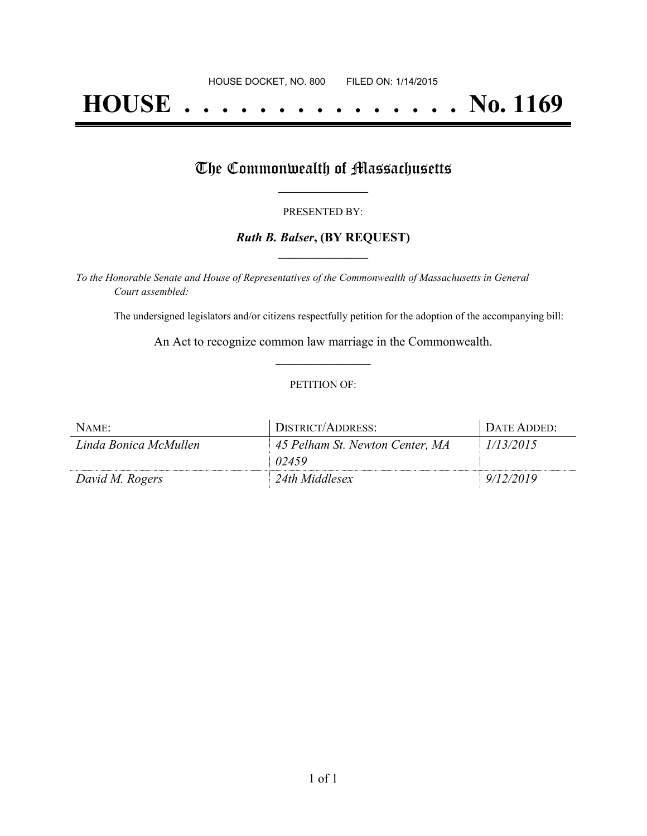# **HOUSE . . . . . . . . . . . . . . . No. 1169**

## The Commonwealth of Massachusetts

#### PRESENTED BY:

#### *Ruth B. Balser***, (BY REQUEST) \_\_\_\_\_\_\_\_\_\_\_\_\_\_\_\_\_**

*To the Honorable Senate and House of Representatives of the Commonwealth of Massachusetts in General Court assembled:*

The undersigned legislators and/or citizens respectfully petition for the adoption of the accompanying bill:

An Act to recognize common law marriage in the Commonwealth. **\_\_\_\_\_\_\_\_\_\_\_\_\_\_\_**

#### PETITION OF:

| NAME:                 | DISTRICT/ADDRESS:                        | DATE ADDED: |
|-----------------------|------------------------------------------|-------------|
| Linda Bonica McMullen | 45 Pelham St. Newton Center, MA<br>02459 | 1/13/2015   |
| David M. Rogers       | 24th Middlesex                           | 9/12/2019   |